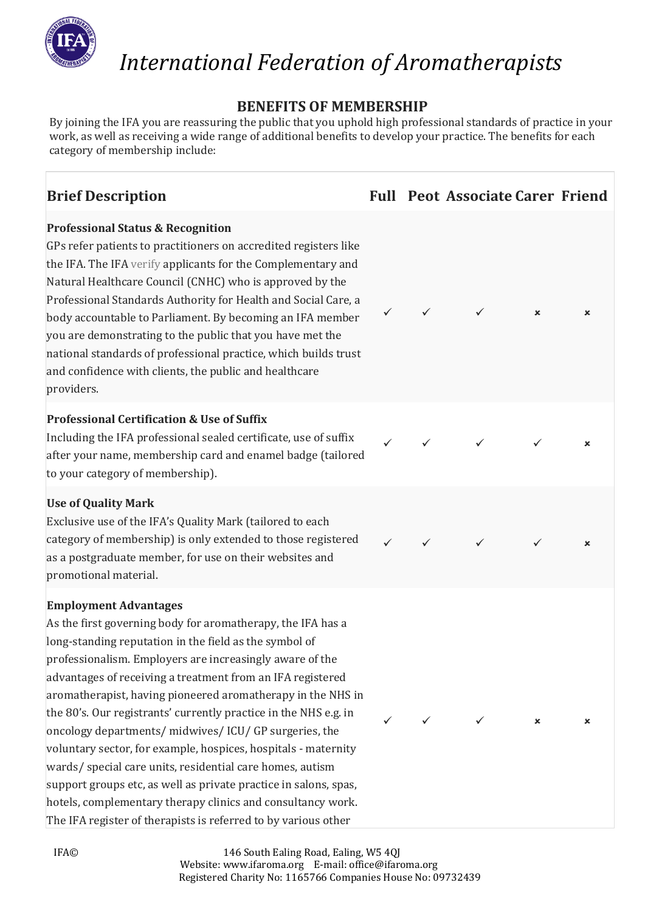

# **BENEFITS OF MEMBERSHIP**

By joining the IFA you are reassuring the public that you uphold high professional standards of practice in your work, as well as receiving a wide range of additional benefits to develop your practice. The benefits for each category of membership include:

**Brief Description Full Peot Associate Carer Friend**

# **Professional Status & Recognition**

GPs refer patients to practitioners on accredited registers like the IFA. The IFA [verify](http://www.confrontyourcomputer.co.uk/index.php/download_file/view/275/690) applicants for the Complementary and Natural Healthcare Council (CNHC) who is approved by the Professional Standards Authority for Health and Social Care, a body accountable to Parliament. By becoming an IFA member you are demonstrating to the public that you have met the national standards of professional practice, which builds trust and confidence with clients, the public and healthcare providers.

# **Professional Certification & Use of Suffix**

Including the IFA professional sealed certificate, use of suffix after your name, membership card and enamel badge (tailored to your category of membership).

# **Use of Quality Mark**

Exclusive use of the IFA's Quality Mark (tailored to each category of membership) is only extended to those registered as a postgraduate member, for use on their websites and promotional material.

# **Employment Advantages**

As the first governing body for aromatherapy, the IFA has a long-standing reputation in the field as the symbol of professionalism. Employers are increasingly aware of the advantages of receiving a treatment from an IFA registered aromatherapist, having pioneered aromatherapy in the NHS in the 80's. Our registrants' currently practice in the NHS e.g. in oncology departments/ midwives/ ICU/ GP surgeries, the voluntary sector, for example, hospices, hospitals - maternity wards/ special care units, residential care homes, autism support groups etc, as well as private practice in salons, spas, hotels, complementary therapy clinics and consultancy work. The IFA register of therapists is referred to by various other

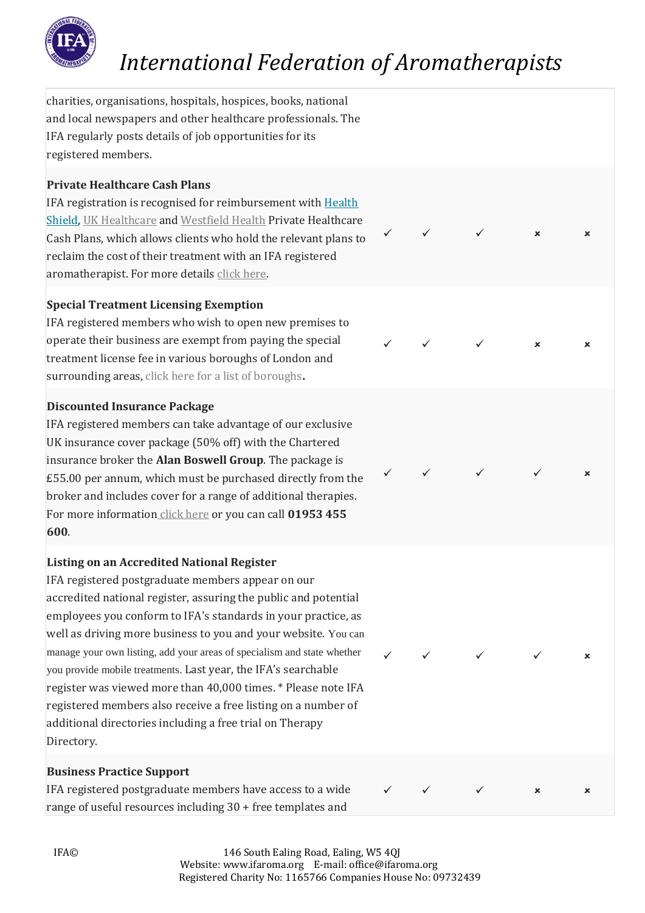

✓ ✓ ✓

✓ ✓ ✓

✓ ✓ ✓ ✓

✓ ✓ ✓ ✓

✓ ✓ ✓

charities, organisations, hospitals, hospices, books, national and local newspapers and other healthcare professionals. The IFA regularly posts details of job opportunities for its registered members.

# **Private Healthcare Cash Plans**

IFA registration is recognised for reimbursement with [Health](https://www.healthshield.co.uk/products/health-cash-plans/)  [Shield,](https://www.healthshield.co.uk/products/health-cash-plans/) [UK Healthcare](https://www.ukhealthcare.org.uk/) and [Westfield Health](https://www.westfieldhealth.com/business/our-products/health-cash-plans) Private Healthcare Cash Plans, which allows clients who hold the relevant plans to reclaim the cost of their treatment with an IFA registered aromatherapist. For more details [click here.](https://ifaroma.org/index.php/english/home/news/private-healthcare-cash-plans)

# **Special Treatment Licensing Exemption**

IFA registered members who wish to open new premises to operate their business are exempt from paying the special treatment license fee in various boroughs of London and surrounding areas, [click here for a list of boroughs](http://www.confrontyourcomputer.co.uk/index.php/download_file/view/60/690)**.**

# **Discounted Insurance Package**

IFA registered members can take advantage of our exclusive UK insurance cover package (50% off) with the Chartered insurance broker the **Alan Boswell Group**. The package is £55.00 per annum, which must be purchased directly from the broker and includes cover for a range of additional therapies. For more information [click here](https://www.alanboswell.com/business/business-insurance/care-medical/complementary-therapy/aromatherapy/) or you can call **01953 455 600**.

# **Listing on an Accredited National Register**

IFA registered postgraduate members appear on our accredited national register, assuring the public and potential employees you conform to IFA's standards in your practice, as well as driving more business to you and your website. You can manage your own listing, add your areas of specialism and state whether you provide mobile treatments. Last year, the IFA's searchable register was viewed more than 40,000 times. \* Please note IFA registered members also receive a free listing on a number of additional directories including a free trial on Therapy Directory.

# **Business Practice Support**

IFA registered postgraduate members have access to a wide range of useful resources including 30 + free templates and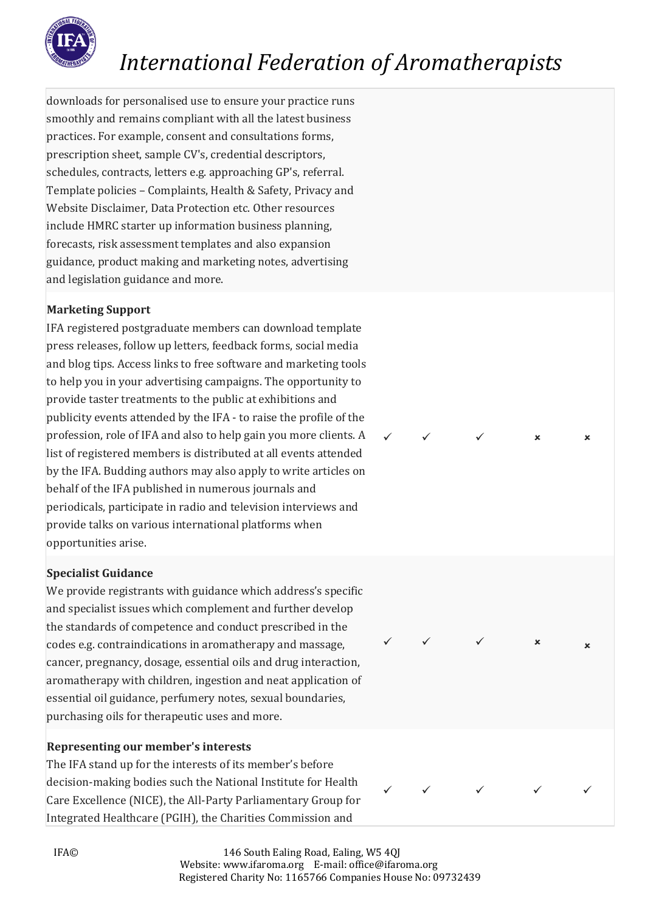

downloads for personalised use to ensure your practice runs smoothly and remains compliant with all the latest business practices. For example, consent and consultations forms, prescription sheet, sample CV's, credential descriptors, schedules, contracts, letters e.g. approaching GP's, referral. Template policies – Complaints, Health & Safety, Privacy and Website Disclaimer, Data Protection etc. Other resources include HMRC starter up information business planning, forecasts, risk assessment templates and also expansion guidance, product making and marketing notes, advertising and legislation guidance and more.

# **Marketing Support**

IFA registered postgraduate members can download template press releases, follow up letters, feedback forms, social media and blog tips. Access links to free software and marketing tools to help you in your advertising campaigns. The opportunity to provide taster treatments to the public at exhibitions and publicity events attended by the IFA - to raise the profile of the profession, role of IFA and also to help gain you more clients. A list of registered members is distributed at all events attended by the IFA. Budding authors may also apply to write articles on behalf of the IFA published in numerous journals and periodicals, participate in radio and television interviews and provide talks on various international platforms when opportunities arise.

# **Specialist Guidance**

We provide registrants with guidance which address's specific and specialist issues which complement and further develop the standards of competence and conduct prescribed in the codes e.g. contraindications in aromatherapy and massage, cancer, pregnancy, dosage, essential oils and drug interaction, aromatherapy with children, ingestion and neat application of essential oil guidance, perfumery notes, sexual boundaries, purchasing oils for therapeutic uses and more.

# **Representing our member's interests**

The IFA stand up for the interests of its member's before decision-making bodies such the National Institute for Health Care Excellence (NICE), the All-Party Parliamentary Group for Integrated Healthcare (PGIH), the Charities Commission and



✓ ✓ ✓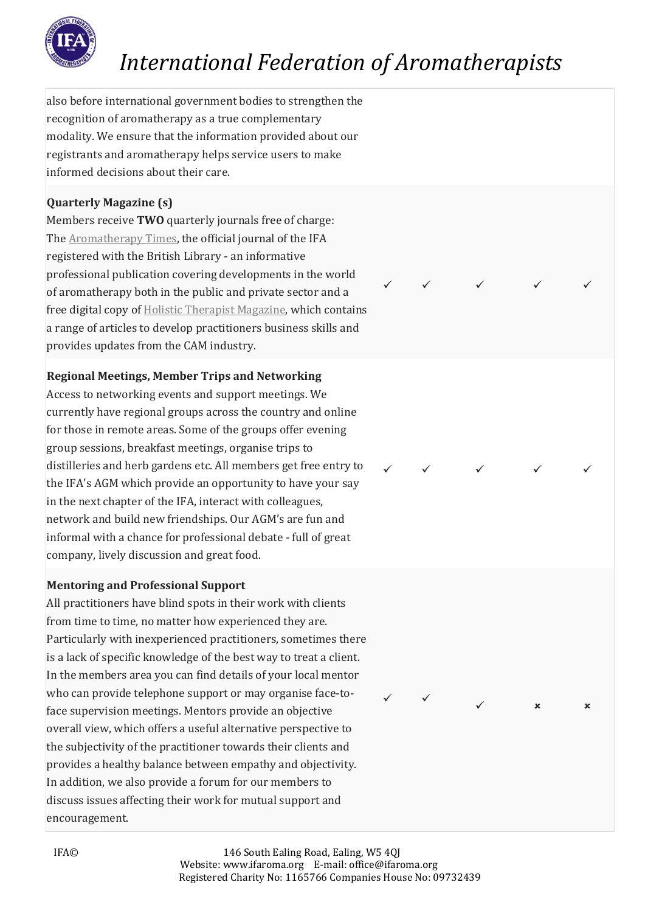

✓ ✓ ✓ ✓ ✓

✓ ✓ ✓ ✓ ✓

✓ ✓ ✓

also before international government bodies to strengthen the recognition of aromatherapy as a true complementary modality. We ensure that the information provided about our registrants and aromatherapy helps service users to make informed decisions about their care.

# **Quarterly Magazine (s)**

Members receive **TWO** quarterly journals free of charge: The **Aromatherapy Times**, the official journal of the IFA registered with the British Library - an informative professional publication covering developments in the world of aromatherapy both in the public and private sector and a free digital copy of [Holistic Therapist Magazine,](https://www.holistictherapistmagazine.com/) which contains a range of articles to develop practitioners business skills and provides updates from the CAM industry.

# **Regional Meetings, Member Trips and Networking**

Access to networking events and support meetings. We currently have regional groups across the country and online for those in remote areas. Some of the groups offer evening group sessions, breakfast meetings, organise trips to distilleries and herb gardens etc. All members get free entry to the IFA's AGM which provide an opportunity to have your say in the next chapter of the IFA, interact with colleagues, network and build new friendships. Our AGM's are fun and informal with a chance for professional debate - full of great company, lively discussion and great food.

# **Mentoring and Professional Support**

All practitioners have blind spots in their work with clients from time to time, no matter how experienced they are. Particularly with inexperienced practitioners, sometimes there is a lack of specific knowledge of the best way to treat a client. In the members area you can find details of your local mentor who can provide telephone support or may organise face-toface supervision meetings. Mentors provide an objective overall view, which offers a useful alternative perspective to the subjectivity of the practitioner towards their clients and provides a healthy balance between empathy and objectivity. In addition, we also provide a forum for our members to discuss issues affecting their work for mutual support and encouragement.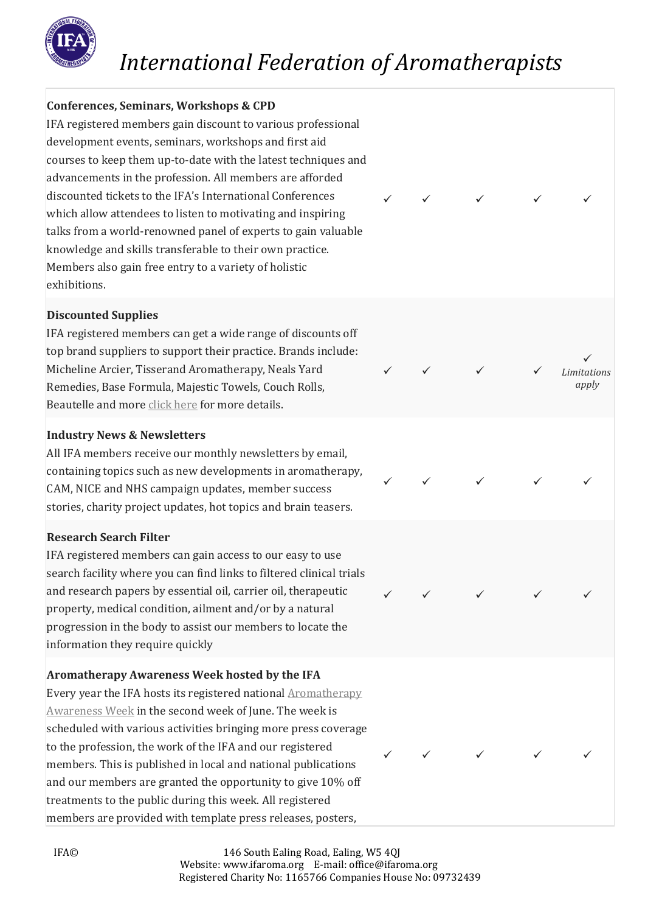

# **Conferences, Seminars, Workshops & CPD**

IFA registered members gain discount to various professional development events, seminars, workshops and first aid courses to keep them up-to-date with the latest techniques and advancements in the profession. All members are afforded discounted tickets to the IFA's International Conferences which allow attendees to listen to motivating and inspiring talks from a world-renowned panel of experts to gain valuable knowledge and skills transferable to their own practice. Members also gain free entry to a variety of holistic exhibitions.

#### **Discounted Supplies**

IFA registered members can get a wide range of discounts off top brand suppliers to support their practice. Brands include: Micheline Arcier, Tisserand Aromatherapy, Neals Yard Remedies, Base Formula, Majestic Towels, Couch Rolls, Beautelle and more [click here](https://ifaroma.org/index.php/download_file/view/3104/690) for more details.

# **Industry News & Newsletters**

All IFA members receive our monthly newsletters by email, containing topics such as new developments in aromatherapy, CAM, NICE and NHS campaign updates, member success stories, charity project updates, hot topics and brain teasers.

# **Research Search Filter**

IFA registered members can gain access to our easy to use search facility where you can find links to filtered clinical trials and research papers by essential oil, carrier oil, therapeutic property, medical condition, ailment and/or by a natural progression in the body to assist our members to locate the information they require quickly

# **Aromatherapy Awareness Week hosted by the IFA**

Every year the IFA hosts its registered national **[Aromatherapy](https://ifaroma.org/index.php/english/home/press-media/aromatherapy-awareness-week)** [Awareness Week](https://ifaroma.org/index.php/english/home/press-media/aromatherapy-awareness-week) in the second week of June. The week is scheduled with various activities bringing more press coverage to the profession, the work of the IFA and our registered members. This is published in local and national publications and our members are granted the opportunity to give 10% off treatments to the public during this week. All registered members are provided with template press releases, posters,



✓ ✓ ✓ ✓ ✓